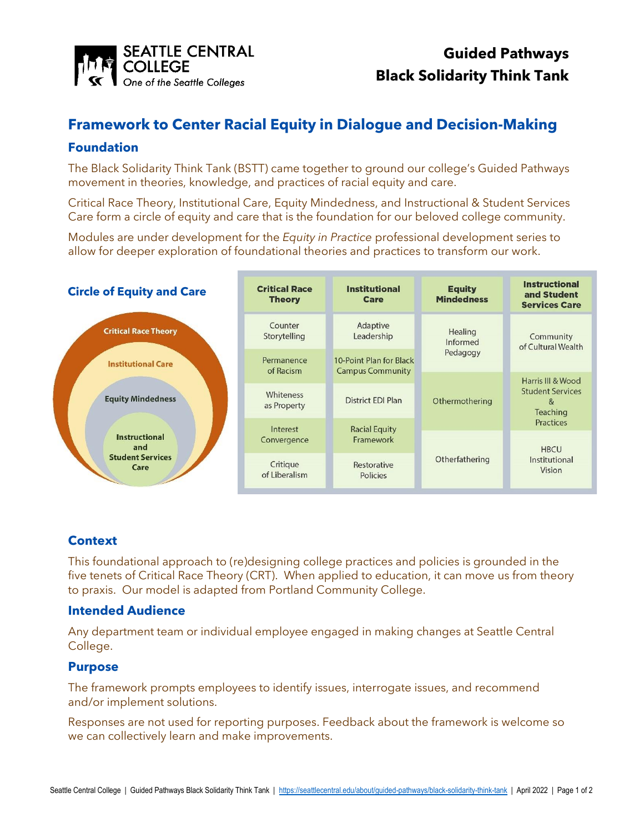

# **Framework to Center Racial Equity in Dialogue and Decision-Making**

## **Foundation**

The Black Solidarity Think Tank (BSTT) came together to ground our college's Guided Pathways movement in theories, knowledge, and practices of racial equity and care.

Critical Race Theory, Institutional Care, Equity Mindedness, and Instructional & Student Services Care form a circle of equity and care that is the foundation for our beloved college community.

Modules are under development for the *Equity in Practice* professional development series to allow for deeper exploration of foundational theories and practices to transform our work.

| <b>Circle of Equity and Care</b>                                                           | <b>Critical Race</b><br><b>Theory</b> | <b>Institutional</b><br>Care                       | <b>Equity</b><br><b>Mindedness</b>                                  | <b>Instructional</b><br>and Student<br><b>Services Care</b>                                                                                                    |
|--------------------------------------------------------------------------------------------|---------------------------------------|----------------------------------------------------|---------------------------------------------------------------------|----------------------------------------------------------------------------------------------------------------------------------------------------------------|
| <b>Critical Race Theory</b>                                                                | Counter<br>Storytelling               | Adaptive<br>Leadership                             | Healing<br>Informed<br>Pedagogy<br>Othermothering<br>Otherfathering | Community<br>of Cultural Wealth<br>Harris III & Wood<br><b>Student Services</b><br>&<br>Teaching<br><b>Practices</b><br><b>HBCU</b><br>Institutional<br>Vision |
| <b>Institutional Care</b>                                                                  | Permanence<br>of Racism               | 10-Point Plan for Black<br><b>Campus Community</b> |                                                                     |                                                                                                                                                                |
| <b>Equity Mindedness</b><br><b>Instructional</b><br>and<br><b>Student Services</b><br>Care | Whiteness<br>as Property              | <b>District EDI Plan</b>                           |                                                                     |                                                                                                                                                                |
|                                                                                            | Interest<br>Convergence               | <b>Racial Equity</b><br>Framework                  |                                                                     |                                                                                                                                                                |
|                                                                                            | Critique<br>of Liberalism             | Restorative<br><b>Policies</b>                     |                                                                     |                                                                                                                                                                |

# **Context**

This foundational approach to (re)designing college practices and policies is grounded in the five tenets of Critical Race Theory (CRT). When applied to education, it can move us from theory to praxis. Our model is adapted from Portland Community College.

#### **Intended Audience**

Any department team or individual employee engaged in making changes at Seattle Central College.

#### **Purpose**

The framework prompts employees to identify issues, interrogate issues, and recommend and/or implement solutions.

Responses are not used for reporting purposes. Feedback about the framework is welcome so we can collectively learn and make improvements.